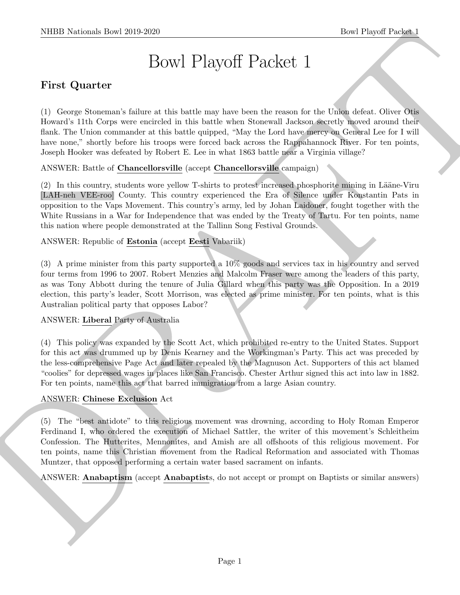# Bowl Playoff Packet 1

# First Quarter

(1) George Stoneman's failure at this battle may have been the reason for the Union defeat. Oliver Otis Howard's 11th Corps were encircled in this battle when Stonewall Jackson secretly moved around their flank. The Union commander at this battle quipped, "May the Lord have mercy on General Lee for I will have none," shortly before his troops were forced back across the Rappahannock River. For ten points, Joseph Hooker was defeated by Robert E. Lee in what 1863 battle near a Virginia village?

## ANSWER: Battle of Chancellorsville (accept Chancellorsville campaign)

(2) In this country, students wore yellow T-shirts to protest increased phosphorite mining in Lääne-Viru [LAH-neh VEE-roo] County. This country experienced the Era of Silence under Konstantin Pats in opposition to the Vaps Movement. This country's army, led by Johan Laidoner, fought together with the White Russians in a War for Independence that was ended by the Treaty of Tartu. For ten points, name this nation where people demonstrated at the Tallinn Song Festival Grounds.

#### ANSWER: Republic of Estonia (accept Eesti Vabariik)

(3) A prime minister from this party supported a 10% goods and services tax in his country and served four terms from 1996 to 2007. Robert Menzies and Malcolm Fraser were among the leaders of this party, as was Tony Abbott during the tenure of Julia Gillard when this party was the Opposition. In a 2019 election, this party's leader, Scott Morrison, was elected as prime minister. For ten points, what is this Australian political party that opposes Labor?

## ANSWER: Liberal Party of Australia

(4) This policy was expanded by the Scott Act, which prohibited re-entry to the United States. Support for this act was drummed up by Denis Kearney and the Workingman's Party. This act was preceded by the less-comprehensive Page Act and later repealed by the Magnuson Act. Supporters of this act blamed "coolies" for depressed wages in places like San Francisco. Chester Arthur signed this act into law in 1882. For ten points, name this act that barred immigration from a large Asian country.

#### ANSWER: Chinese Exclusion Act

SIIDE Notional- how 20:0 2250<br>
Bowl Playoff Packet 1<br>
Devi Playoff Device in the location of the based one is the former for the Uring Schen, Often Other than<br>
(1) Group Schemes of the based one is the state of the Uring (5) The "best antidote" to this religious movement was drowning, according to Holy Roman Emperor Ferdinand I, who ordered the execution of Michael Sattler, the writer of this movement's Schleitheim Confession. The Hutterites, Mennonites, and Amish are all offshoots of this religious movement. For ten points, name this Christian movement from the Radical Reformation and associated with Thomas Muntzer, that opposed performing a certain water based sacrament on infants.

ANSWER: Anabaptism (accept Anabaptists, do not accept or prompt on Baptists or similar answers)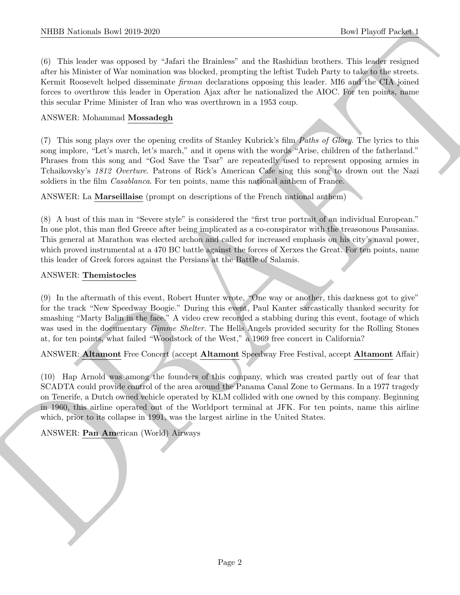(6) This leader was opposed by "Jafari the Brainless" and the Rashidian brothers. This leader resigned after his Minister of War nomination was blocked, prompting the leftist Tudeh Party to take to the streets. Kermit Roosevelt helped disseminate firman declarations opposing this leader. MI6 and the CIA joined forces to overthrow this leader in Operation Ajax after he nationalized the AIOC. For ten points, name this secular Prime Minister of Iran who was overthrown in a 1953 coup.

#### ANSWER: Mohammad Mossadegh

(7) This song plays over the opening credits of Stanley Kubrick's film Paths of Glory. The lyrics to this song implore, "Let's march, let's march," and it opens with the words "Arise, children of the fatherland." Phrases from this song and "God Save the Tsar" are repeatedly used to represent opposing armies in Tchaikovsky's 1812 Overture. Patrons of Rick's American Cafe sing this song to drown out the Nazi soldiers in the film *Casablanca*. For ten points, name this national anthem of France.

ANSWER: La Marseillaise (prompt on descriptions of the French national anthem)

(8) A bust of this man in "Severe style" is considered the "first true portrait of an individual European." In one plot, this man fled Greece after being implicated as a co-conspirator with the treasonous Pausanias. This general at Marathon was elected archon and called for increased emphasis on his city's naval power, which proved instrumental at a 470 BC battle against the forces of Xerxes the Great. For ten points, name this leader of Greek forces against the Persians at the Battle of Salamis.

#### ANSWER: Themistocles

(9) In the aftermath of this event, Robert Hunter wrote, "One way or another, this darkness got to give" for the track "New Speedway Boogie." During this event, Paul Kanter sarcastically thanked security for smashing "Marty Balin in the face." A video crew recorded a stabbing during this event, footage of which was used in the documentary *Gimme Shelter*. The Hells Angels provided security for the Rolling Stones at, for ten points, what failed "Woodstock of the West," a 1969 free concert in California?

ANSWER: Altamont Free Concert (accept Altamont Speedway Free Festival, accept Altamont Affair)

NIBB Noticeals, how 2019-2020<br>
(b) This testic was appeared by which the Brainback can be Resident boson of Payer Property Process (with the contrast of the Secondary of the Secondary of the Secondary of the Secondary of (10) Hap Arnold was among the founders of this company, which was created partly out of fear that SCADTA could provide control of the area around the Panama Canal Zone to Germans. In a 1977 tragedy on Tenerife, a Dutch owned vehicle operated by KLM collided with one owned by this company. Beginning in 1960, this airline operated out of the Worldport terminal at JFK. For ten points, name this airline which, prior to its collapse in 1991, was the largest airline in the United States.

#### ANSWER: Pan American (World) Airways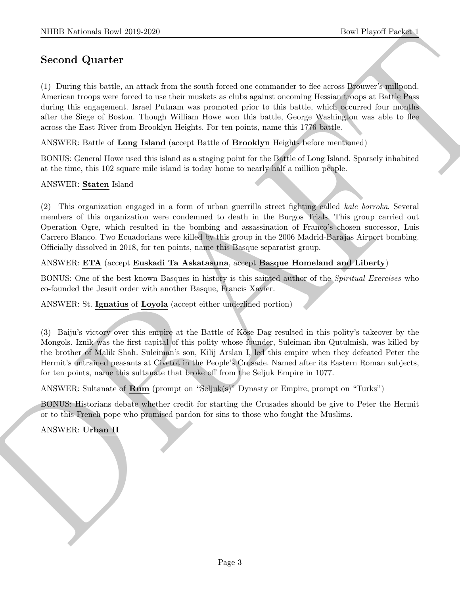# Second Quarter

NIBB Notionals how 2019-2020<br>
Second Quarter (1) Details at a stack foot the worth forced one communisty of discussions and<br>solvential at a stack foot the stack foot one community of discussions are<br>above to the stack of (1) During this battle, an attack from the south forced one commander to flee across Brouwer's millpond. American troops were forced to use their muskets as clubs against oncoming Hessian troops at Battle Pass during this engagement. Israel Putnam was promoted prior to this battle, which occurred four months after the Siege of Boston. Though William Howe won this battle, George Washington was able to flee across the East River from Brooklyn Heights. For ten points, name this 1776 battle.

ANSWER: Battle of Long Island (accept Battle of Brooklyn Heights before mentioned)

BONUS: General Howe used this island as a staging point for the Battle of Long Island. Sparsely inhabited at the time, this 102 square mile island is today home to nearly half a million people.

#### ANSWER: Staten Island

(2) This organization engaged in a form of urban guerrilla street fighting called kale borroka. Several members of this organization were condemned to death in the Burgos Trials. This group carried out Operation Ogre, which resulted in the bombing and assassination of Franco's chosen successor, Luis Carrero Blanco. Two Ecuadorians were killed by this group in the 2006 Madrid-Barajas Airport bombing. Officially dissolved in 2018, for ten points, name this Basque separatist group.

#### ANSWER: ETA (accept Euskadi Ta Askatasuna, accept Basque Homeland and Liberty)

BONUS: One of the best known Basques in history is this sainted author of the Spiritual Exercises who co-founded the Jesuit order with another Basque, Francis Xavier.

## ANSWER: St. Ignatius of Loyola (accept either underlined portion)

(3) Baiju's victory over this empire at the Battle of K¨ose Dag resulted in this polity's takeover by the Mongols. Iznik was the first capital of this polity whose founder, Suleiman ibn Qutulmish, was killed by the brother of Malik Shah. Suleiman's son, Kilij Arslan I, led this empire when they defeated Peter the Hermit's untrained peasants at Civetot in the People's Crusade. Named after its Eastern Roman subjects, for ten points, name this sultanate that broke off from the Seljuk Empire in 1077.

ANSWER: Sultanate of Rum (prompt on "Seljuk(s)" Dynasty or Empire, prompt on "Turks")

BONUS: Historians debate whether credit for starting the Crusades should be give to Peter the Hermit or to this French pope who promised pardon for sins to those who fought the Muslims.

ANSWER: Urban II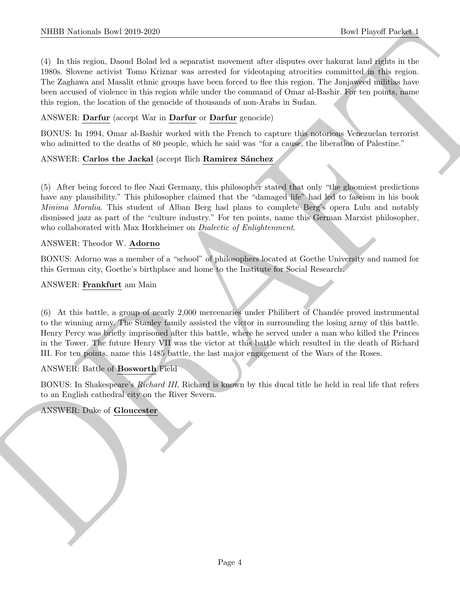NIBB Notionals Ibori 2019-2020<br>
(1) In this spiral Download Solve between the actualistic constant when dispose over the New York Ballett is the<br>
(1) In this spiral Download Solve between two streams for victoring arrestic (4) In this region, Daoud Bolad led a separatist movement after disputes over hakurat land rights in the 1980s. Slovene activist Tomo Kriznar was arrested for videotaping atrocities committed in this region. The Zaghawa and Masalit ethnic groups have been forced to flee this region. The Janjaweed militias have been accused of violence in this region while under the command of Omar al-Bashir. For ten points, name this region, the location of the genocide of thousands of non-Arabs in Sudan.

#### ANSWER: Darfur (accept War in Darfur or Darfur genocide)

BONUS: In 1994, Omar al-Bashir worked with the French to capture this notorious Venezuelan terrorist who admitted to the deaths of 80 people, which he said was "for a cause, the liberation of Palestine."

#### ANSWER: Carlos the Jackal (accept Ilich Ramirez Sánchez

(5) After being forced to flee Nazi Germany, this philosopher stated that only "the gloomiest predictions have any plausibility." This philosopher claimed that the "damaged life" had led to fascism in his book Minima Moralia. This student of Alban Berg had plans to complete Berg's opera Lulu and notably dismissed jazz as part of the "culture industry." For ten points, name this German Marxist philosopher, who collaborated with Max Horkheimer on *Dialectic of Enlightenment*.

#### ANSWER: Theodor W. Adorno

BONUS: Adorno was a member of a "school" of philosophers located at Goethe University and named for this German city, Goethe's birthplace and home to the Institute for Social Research.

#### ANSWER: Frankfurt am Main

 $(6)$  At this battle, a group of nearly 2,000 mercenaries under Philibert of Chandée proved instrumental to the winning army. The Stanley family assisted the victor in surrounding the losing army of this battle. Henry Percy was briefly imprisoned after this battle, where he served under a man who killed the Princes in the Tower. The future Henry VII was the victor at this battle which resulted in the death of Richard III. For ten points, name this 1485 battle, the last major engagement of the Wars of the Roses.

#### ANSWER: Battle of Bosworth Field

BONUS: In Shakespeare's Richard III, Richard is known by this ducal title he held in real life that refers to an English cathedral city on the River Severn.

#### ANSWER: Duke of Gloucester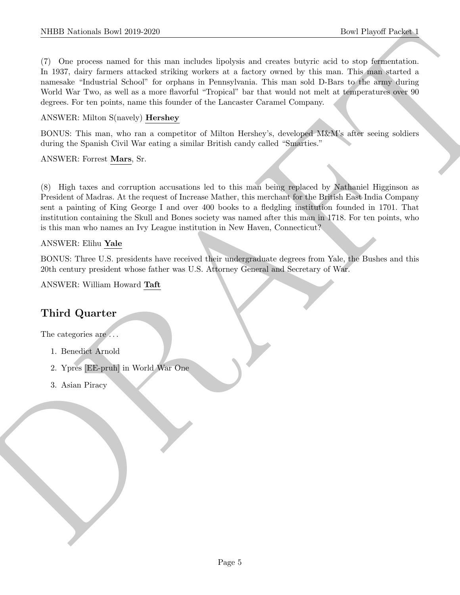NIBER Nederlands Down 2010-2020<br>
The Playeri Passed and The State and Radioles Subdets and transfer discrimination and transfer between the state and the<br>
The process neutral is chosen in a particular of a first system of (7) One process named for this man includes lipolysis and creates butyric acid to stop fermentation. In 1937, dairy farmers attacked striking workers at a factory owned by this man. This man started a namesake "Industrial School" for orphans in Pennsylvania. This man sold D-Bars to the army during World War Two, as well as a more flavorful "Tropical" bar that would not melt at temperatures over 90 degrees. For ten points, name this founder of the Lancaster Caramel Company.

## ANSWER: Milton S(navely) Hershey

BONUS: This man, who ran a competitor of Milton Hershey's, developed M&M's after seeing soldiers during the Spanish Civil War eating a similar British candy called "Smarties."

ANSWER: Forrest Mars, Sr.

(8) High taxes and corruption accusations led to this man being replaced by Nathaniel Higginson as President of Madras. At the request of Increase Mather, this merchant for the British East India Company sent a painting of King George I and over 400 books to a fledgling institution founded in 1701. That institution containing the Skull and Bones society was named after this man in 1718. For ten points, who is this man who names an Ivy League institution in New Haven, Connecticut?

#### ANSWER: Elihu Yale

BONUS: Three U.S. presidents have received their undergraduate degrees from Yale, the Bushes and this 20th century president whose father was U.S. Attorney General and Secretary of War.

ANSWER: William Howard Taft

# Third Quarter

The categories are  $\ldots$ 

- 1. Benedict Arnold
- 2. Ypres [EE-pruh] in World War One
- 3. Asian Piracy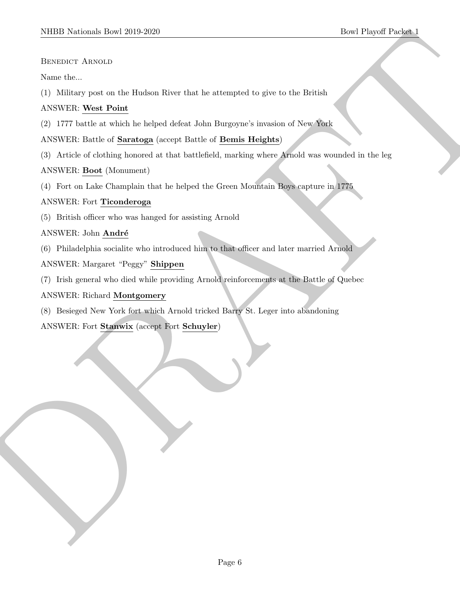Benedict Arnold

Name the...

(1) Military post on the Hudson River that he attempted to give to the British

## ANSWER: West Point

(2) 1777 battle at which he helped defeat John Burgoyne's invasion of New York

ANSWER: Battle of Saratoga (accept Battle of Bemis Heights)

SIDDI Norional: Dowl 2019-2020<br>
Blown the Hospital Player (1978)<br>
SECRETY ARNOLD<br>
Norm the Hospital contribution is a strengthed to give to the Heirich (1979)<br>
ANNWER: Dowled with an longed tribute of Dennis Heights)<br>
CD (3) Article of clothing honored at that battlefield, marking where Arnold was wounded in the leg

## ANSWER: Boot (Monument)

(4) Fort on Lake Champlain that he helped the Green Mountain Boys capture in 1775

## ANSWER: Fort Ticonderoga

(5) British officer who was hanged for assisting Arnold

## ANSWER: John André

(6) Philadelphia socialite who introduced him to that officer and later married Arnold

## ANSWER: Margaret "Peggy" Shippen

(7) Irish general who died while providing Arnold reinforcements at the Battle of Quebec

## ANSWER: Richard Montgomery

(8) Besieged New York fort which Arnold tricked Barry St. Leger into abandoning

## ANSWER: Fort Stanwix (accept Fort Schuyler)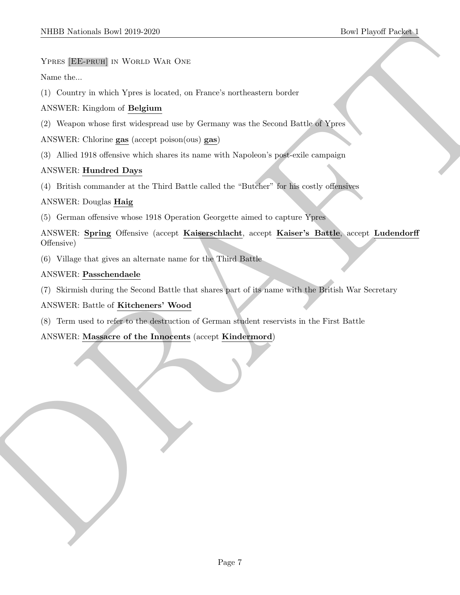#### YPRES [EE-PRUH] IN WORLD WAR ONE

Name the...

(1) Country in which Ypres is located, on France's northeastern border

## ANSWER: Kingdom of Belgium

(2) Weapon whose first widespread use by Germany was the Second Battle of Ypres

ANSWER: Chlorine gas (accept poison(ous) gas)

(3) Allied 1918 offensive which shares its name with Napoleon's post-exile campaign

## ANSWER: Hundred Days

(4) British commander at the Third Battle called the "Butcher" for his costly offensives

## ANSWER: Douglas Haig

(5) German offensive whose 1918 Operation Georgette aimed to capture Ypres

MIDD Nettical Enert 2019-2020<br>
Yestia [Elistynan] is Worth Wat Ost<br>
Yestia [Elistynan] is Worth Wat Ost<br>
New He, Caption of Belgium<br>
(1) Corrent to refer be forced on Finner's work as Sound Billia (Elistynan)<br>
(2) Albert D ANSWER: Spring Offensive (accept Kaiserschlacht, accept Kaiser's Battle, accept Ludendorff Offensive)

(6) Village that gives an alternate name for the Third Battle

## ANSWER: Passchendaele

(7) Skirmish during the Second Battle that shares part of its name with the British War Secretary

## ANSWER: Battle of Kitcheners' Wood

(8) Term used to refer to the destruction of German student reservists in the First Battle

## ANSWER: Massacre of the Innocents (accept Kindermord)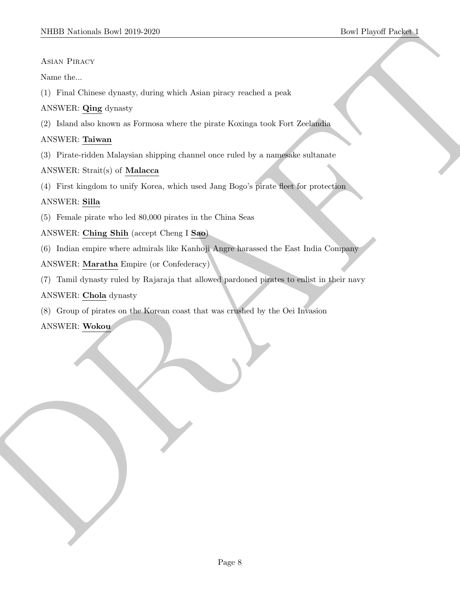#### Asian Piracy

Name the...

(1) Final Chinese dynasty, during which Asian piracy reached a peak

## ANSWER: Qing dynasty

(2) Island also known as Formosa where the pirate Koxinga took Fort Zeelandia

## ANSWER: Taiwan

(3) Pirate-ridden Malaysian shipping channel once ruled by a namesake sultanate

## ANSWER: Strait(s) of Malacca

(4) First kingdom to unify Korea, which used Jang Bogo's pirate fleet for protection

## ANSWER: Silla

(5) Female pirate who led 80,000 pirates in the China Seas

ANSWER: Ching Shih (accept Cheng I Sao)

(6) Indian empire where admirals like Kanhoji Angre harassed the East India Company

## ANSWER: Maratha Empire (or Confederacy)

SIDD Notional: Download the strategy of wing which Adian pinary vection a peak<br>
Amaze Pinacey<br>
Note that the second strategy during which Adian pinary vection a peak<br>
ANNER (2) is final that as some as interactes where th (7) Tamil dynasty ruled by Rajaraja that allowed pardoned pirates to enlist in their navy

ANSWER: Chola dynasty

(8) Group of pirates on the Korean coast that was crushed by the Oei Invasion

ANSWER: Wokou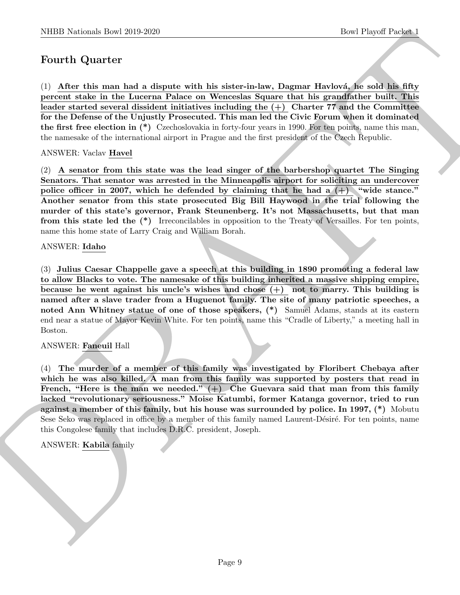## Fourth Quarter

 $(1)$  After this man had a dispute with his sister-in-law, Dagmar Havlová, he sold his fifty percent stake in the Lucerna Palace on Wenceslas Square that his grandfather built. This leader started several dissident initiatives including the  $(+)$  Charter 77 and the Committee for the Defense of the Unjustly Prosecuted. This man led the Civic Forum when it dominated the first free election in (\*) Czechoslovakia in forty-four years in 1990. For ten points, name this man, the namesake of the international airport in Prague and the first president of the Czech Republic.

ANSWER: Vaclav Havel

(2) A senator from this state was the lead singer of the barbershop quartet The Singing Senators. That senator was arrested in the Minneapolis airport for soliciting an undercover police officer in 2007, which he defended by claiming that he had a  $(+)$  "wide stance." Another senator from this state prosecuted Big Bill Haywood in the trial following the murder of this state's governor, Frank Steunenberg. It's not Massachusetts, but that man from this state led the (\*) Irreconcilables in opposition to the Treaty of Versailles. For ten points, name this home state of Larry Craig and William Borah.

#### ANSWER: Idaho

(3) Julius Caesar Chappelle gave a speech at this building in 1890 promoting a federal law to allow Blacks to vote. The namesake of this building inherited a massive shipping empire, because he went against his uncle's wishes and chose  $(+)$  not to marry. This building is named after a slave trader from a Huguenot family. The site of many patriotic speeches, a noted Ann Whitney statue of one of those speakers, (\*) Samuel Adams, stands at its eastern end near a statue of Mayor Kevin White. For ten points, name this "Cradle of Liberty," a meeting hall in Boston.

#### ANSWER: Faneuil Hall

NIBB Noticeals how 20:0 2260<br>Best Playeri Descriptions and the Hotel Playeri Description of the Hotel Playeri Description of the Hotel Playeri of the Hotel Manner of the Hotel Manner (and the Hotel Manner of the Hotel Man (4) The murder of a member of this family was investigated by Floribert Chebaya after which he was also killed. A man from this family was supported by posters that read in French, "Here is the man we needed."  $(+)$  Che Guevara said that man from this family lacked "revolutionary seriousness." Moise Katumbi, former Katanga governor, tried to run against a member of this family, but his house was surrounded by police. In 1997, (\*) Mobutu Sese Seko was replaced in office by a member of this family named Laurent-Désiré. For ten points, name this Congolese family that includes D.R.C. president, Joseph.

#### ANSWER: Kabila family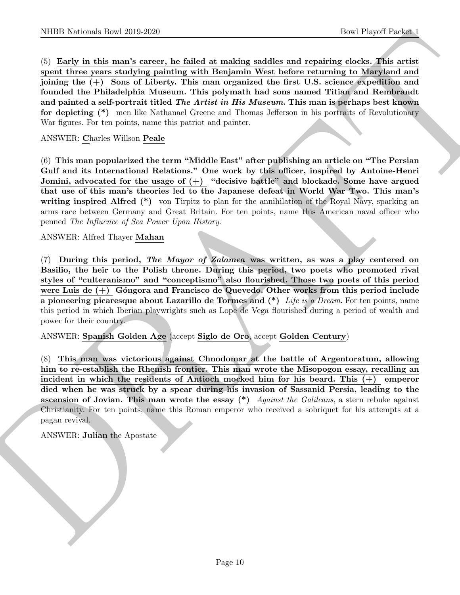NIBB Noticeals how 20:0 2020<br>
Control (Except Propert Control (Section 1)<br>
Control (Except Control (Except Control (Section 1)<br>
Specific the material of the material pointing with Resignant West before retrieving to Maryl (5) Early in this man's career, he failed at making saddles and repairing clocks. This artist spent three years studying painting with Benjamin West before returning to Maryland and joining the (+) Sons of Liberty. This man organized the first U.S. science expedition and founded the Philadelphia Museum. This polymath had sons named Titian and Rembrandt and painted a self-portrait titled *The Artist in His Museum*. This man is perhaps best known for depicting (\*) men like Nathanael Greene and Thomas Jefferson in his portraits of Revolutionary War figures. For ten points, name this patriot and painter.

#### ANSWER: Charles Willson Peale

(6) This man popularized the term "Middle East" after publishing an article on "The Persian Gulf and its International Relations." One work by this officer, inspired by Antoine-Henri Jomini, advocated for the usage of  $(+)$  "decisive battle" and blockade. Some have argued that use of this man's theories led to the Japanese defeat in World War Two. This man's writing inspired Alfred (\*) von Tirpitz to plan for the annihilation of the Royal Navy, sparking an arms race between Germany and Great Britain. For ten points, name this American naval officer who penned The Influence of Sea Power Upon History.

#### ANSWER: Alfred Thayer Mahan

(7) During this period, The Mayor of Zalamea was written, as was a play centered on Basilio, the heir to the Polish throne. During this period, two poets who promoted rival styles of "culteranismo" and "conceptismo" also flourished. Those two poets of this period were Luis de  $(+)$  Góngora and Francisco de Quevedo. Other works from this period include a pioneering picaresque about Lazarillo de Tormes and  $(*)$  Life is a Dream. For ten points, name this period in which Iberian playwrights such as Lope de Vega flourished during a period of wealth and power for their country.

#### ANSWER: Spanish Golden Age (accept Siglo de Oro, accept Golden Century)

(8) This man was victorious against Chnodomar at the battle of Argentoratum, allowing him to re-establish the Rhenish frontier. This man wrote the Misopogon essay, recalling an incident in which the residents of Antioch mocked him for his beard. This (+) emperor died when he was struck by a spear during his invasion of Sassanid Persia, leading to the ascension of Jovian. This man wrote the essay  $(*)$  Against the Galileans, a stern rebuke against Christianity. For ten points, name this Roman emperor who received a sobriquet for his attempts at a pagan revival.

#### ANSWER: Julian the Apostate